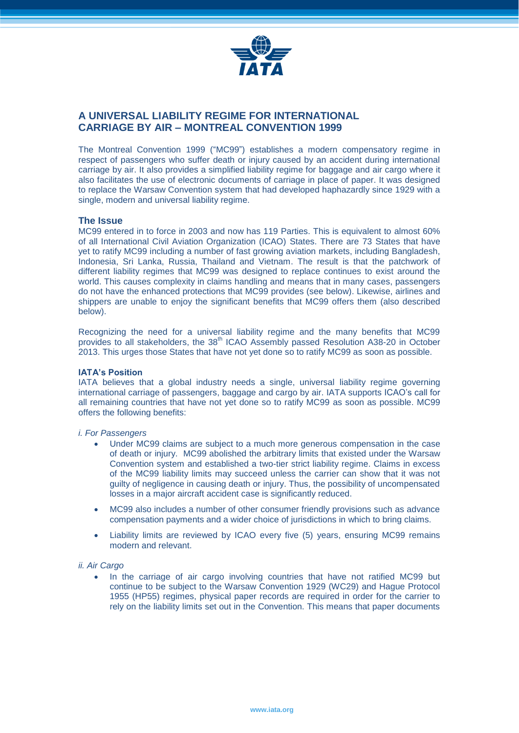

# **A UNIVERSAL LIABILITY REGIME FOR INTERNATIONAL CARRIAGE BY AIR – MONTREAL CONVENTION 1999**

The Montreal Convention 1999 ("MC99") establishes a modern compensatory regime in respect of passengers who suffer death or injury caused by an accident during international carriage by air. It also provides a simplified liability regime for baggage and air cargo where it also facilitates the use of electronic documents of carriage in place of paper. It was designed to replace the Warsaw Convention system that had developed haphazardly since 1929 with a single, modern and universal liability regime.

# **The Issue**

MC99 entered in to force in 2003 and now has 119 Parties. This is equivalent to almost 60% of all International Civil Aviation Organization (ICAO) States. There are 73 States that have yet to ratify MC99 including a number of fast growing aviation markets, including Bangladesh, Indonesia, Sri Lanka, Russia, Thailand and Vietnam. The result is that the patchwork of different liability regimes that MC99 was designed to replace continues to exist around the world. This causes complexity in claims handling and means that in many cases, passengers do not have the enhanced protections that MC99 provides (see below). Likewise, airlines and shippers are unable to enjoy the significant benefits that MC99 offers them (also described below).

Recognizing the need for a universal liability regime and the many benefits that MC99 provides to all stakeholders, the 38<sup>th</sup> ICAO Assembly passed Resolution A38-20 in October 2013. This urges those States that have not yet done so to ratify MC99 as soon as possible.

### **IATA's Position**

IATA believes that a global industry needs a single, universal liability regime governing international carriage of passengers, baggage and cargo by air. IATA supports ICAO's call for all remaining countries that have not yet done so to ratify MC99 as soon as possible. MC99 offers the following benefits:

## *i. For Passengers*

- Under MC99 claims are subject to a much more generous compensation in the case of death or injury. MC99 abolished the arbitrary limits that existed under the Warsaw Convention system and established a two-tier strict liability regime. Claims in excess of the MC99 liability limits may succeed unless the carrier can show that it was not guilty of negligence in causing death or injury. Thus, the possibility of uncompensated losses in a major aircraft accident case is significantly reduced.
- MC99 also includes a number of other consumer friendly provisions such as advance compensation payments and a wider choice of jurisdictions in which to bring claims.
- Liability limits are reviewed by ICAO every five (5) years, ensuring MC99 remains modern and relevant.

### *ii. Air Cargo*

• In the carriage of air cargo involving countries that have not ratified MC99 but continue to be subject to the Warsaw Convention 1929 (WC29) and Hague Protocol 1955 (HP55) regimes, physical paper records are required in order for the carrier to rely on the liability limits set out in the Convention. This means that paper documents